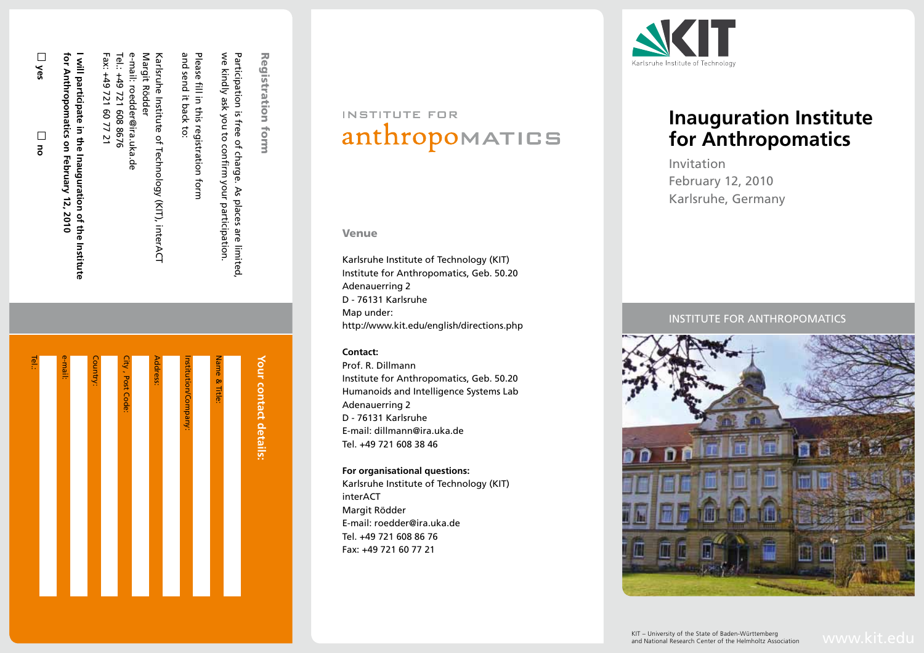| ዌ |
|---|
|   |
|   |

| ື້ |  |
|----|--|
|    |  |
|    |  |
|    |  |

**for Anthropomatics on February 12, 2010** for Anthropomatics on **I will participate in the Inauguration of the Institute**  will participate in the February Inauguration of the Institute 12,2010

Tel.: +49 721 608 8676 e-mail: roedder@ira.uka.de

e-mail: roedder@ira.uka.de

Margit Rödder

Margit Rödder

Karlsruhe Institute of Technology (KIT), interACT

Karlsruhe Institute of Technology (KIT), interAC

and send it back to:

I it back

 $\ddot{\circ}$ 

send

and

Please fill in this registration form

Please fill in this registration form

we kindly ask you to confirm your participation. Participation is free of charge. As places are limited,

Participation is free of charge. As places are limited<br>we kindly ask you to confirm your participation.

Registration form

Registration form

| Your contact details: |
|-----------------------|
| Name & Title:         |
|                       |
| Institution/Company:  |
|                       |
| Address:              |
|                       |
| City, Post Code:      |
|                       |
| Country:              |
|                       |
| e-mail:               |
|                       |
| Tel.:                 |

## INSTITUTE FOR anthropomatics

### Venue

Karlsruhe Institute of Technology (KIT) Institute for Anthropomatics, Geb. 50.20 Adenauerring 2 D - 76131 Karlsruhe Map under: http://www.kit.edu/english/directions.php

### **Contact:**

Prof. R. Dillmann Institute for Anthropomatics, Geb. 50.20 Humanoids and Intelligence Systems Lab Adenauerring 2 D - 76131 Karlsruhe E-mail: dillmann@ira.uka.de Tel. +49 721 608 38 46

### **For organisational questions:**

Karlsruhe Institute of Technology (KIT) interACT Margit Rödder E-mail: roedder@ira.uka.de Tel. +49 721 608 86 76 Fax: +49 721 60 77 21



### **Inauguration Institute for Anthropomatics**

Invitation February 12, 2010 Karlsruhe, Germany

### INSTITUTE FOR ANTHROPOM



KIT – University of the State of Baden-Württemberg<br>and National Research Center of the Helmholtz Association